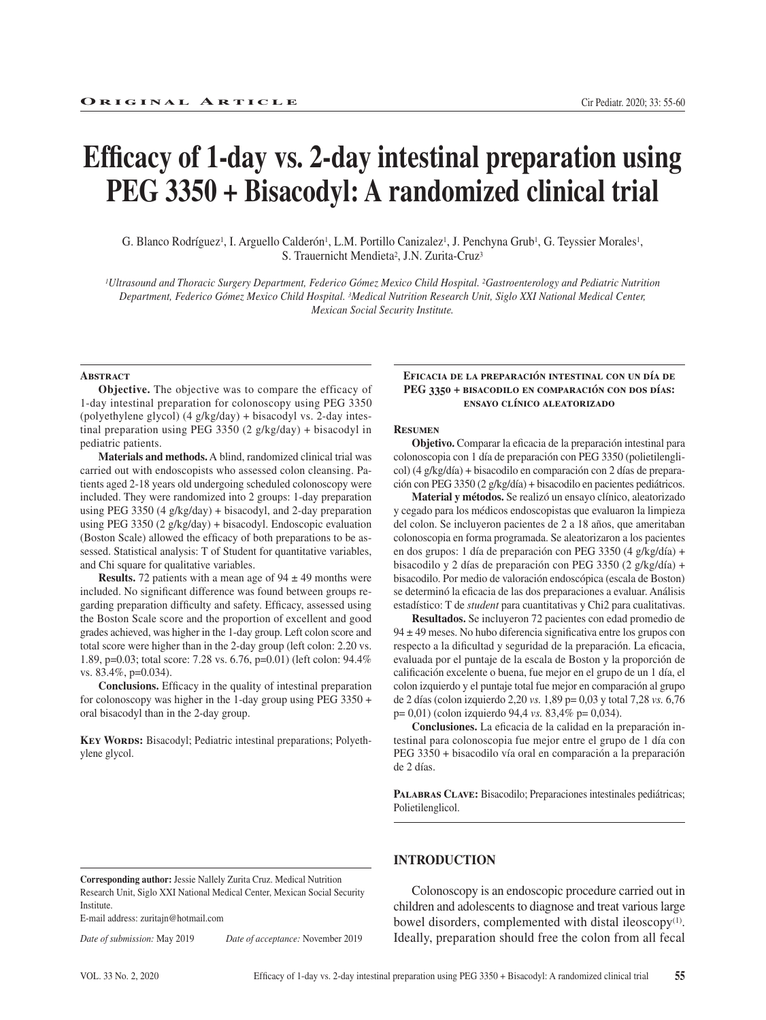# **Efficacy of 1-day vs. 2-day intestinal preparation using PEG 3350 + Bisacodyl: A randomized clinical trial**

G. Blanco Rodríguez<sup>1</sup>, I. Arguello Calderón<sup>1</sup>, L.M. Portillo Canizalez<sup>1</sup>, J. Penchyna Grub<sup>1</sup>, G. Teyssier Morales<sup>1</sup>, S. Trauernicht Mendieta<sup>2</sup>, J.N. Zurita-Cruz<sup>3</sup>

*1Ultrasound and Thoracic Surgery Department, Federico Gómez Mexico Child Hospital. 2Gastroenterology and Pediatric Nutrition Department, Federico Gómez Mexico Child Hospital. 3Medical Nutrition Research Unit, Siglo XXI National Medical Center, Mexican Social Security Institute.*

#### **ABSTRACT**

**Objective.** The objective was to compare the efficacy of 1-day intestinal preparation for colonoscopy using PEG 3350 (polyethylene glycol) (4 g/kg/day) + bisacodyl vs. 2-day intestinal preparation using PEG 3350 (2 g/kg/day) + bisacodyl in pediatric patients.

**Materials and methods.** A blind, randomized clinical trial was carried out with endoscopists who assessed colon cleansing. Patients aged 2-18 years old undergoing scheduled colonoscopy were included. They were randomized into 2 groups: 1-day preparation using PEG 3350 (4 g/kg/day) + bisacodyl, and 2-day preparation using PEG 3350 (2 g/kg/day) + bisacodyl. Endoscopic evaluation (Boston Scale) allowed the efficacy of both preparations to be assessed. Statistical analysis: T of Student for quantitative variables, and Chi square for qualitative variables.

**Results.** 72 patients with a mean age of  $94 \pm 49$  months were included. No significant difference was found between groups regarding preparation difficulty and safety. Efficacy, assessed using the Boston Scale score and the proportion of excellent and good grades achieved, was higher in the 1-day group. Left colon score and total score were higher than in the 2-day group (left colon: 2.20 vs. 1.89, p=0.03; total score: 7.28 vs. 6.76, p=0.01) (left colon: 94.4% vs. 83.4%, p=0.034).

**Conclusions.** Efficacy in the quality of intestinal preparation for colonoscopy was higher in the 1-day group using PEG 3350 + oral bisacodyl than in the 2-day group.

**Key Words:** Bisacodyl; Pediatric intestinal preparations; Polyethylene glycol.

#### **Eficacia de la preparación intestinal con un día de PEG 3350 + bisacodilo en comparación con dos días: ensayo clínico aleatorizado**

#### **Resumen**

**Objetivo.** Comparar la eficacia de la preparación intestinal para colonoscopia con 1 día de preparación con PEG 3350 (polietilenglicol) (4 g/kg/día) + bisacodilo en comparación con 2 días de preparación con PEG 3350 (2 g/kg/día) + bisacodilo en pacientes pediátricos.

**Material y métodos.** Se realizó un ensayo clínico, aleatorizado y cegado para los médicos endoscopistas que evaluaron la limpieza del colon. Se incluyeron pacientes de 2 a 18 años, que ameritaban colonoscopia en forma programada. Se aleatorizaron a los pacientes en dos grupos: 1 día de preparación con PEG 3350 (4 g/kg/día) + bisacodilo y 2 días de preparación con PEG 3350 (2 g/kg/día) + bisacodilo. Por medio de valoración endoscópica (escala de Boston) se determinó la eficacia de las dos preparaciones a evaluar. Análisis estadístico: T de *student* para cuantitativas y Chi2 para cualitativas.

**Resultados.** Se incluyeron 72 pacientes con edad promedio de 94 ± 49 meses. No hubo diferencia significativa entre los grupos con respecto a la dificultad y seguridad de la preparación. La eficacia, evaluada por el puntaje de la escala de Boston y la proporción de calificación excelente o buena, fue mejor en el grupo de un 1 día, el colon izquierdo y el puntaje total fue mejor en comparación al grupo de 2 días (colon izquierdo 2,20 *vs.* 1,89 p= 0,03 y total 7,28 *vs.* 6,76 p= 0,01) (colon izquierdo 94,4 *vs.* 83,4% p= 0,034).

**Conclusiones.** La eficacia de la calidad en la preparación intestinal para colonoscopia fue mejor entre el grupo de 1 día con PEG 3350 + bisacodilo vía oral en comparación a la preparación de 2 días.

PALABRAS CLAVE: Bisacodilo; Preparaciones intestinales pediátricas; Polietilenglicol.

**Corresponding author:** Jessie Nallely Zurita Cruz. Medical Nutrition Research Unit, Siglo XXI National Medical Center, Mexican Social Security Institute.

E-mail address: zuritajn@hotmail.com

*Date of submission:* May 2019 *Date of acceptance:* November 2019

**INTRODUCTION**

Colonoscopy is an endoscopic procedure carried out in children and adolescents to diagnose and treat various large bowel disorders, complemented with distal ileoscopy<sup>(1)</sup>. Ideally, preparation should free the colon from all fecal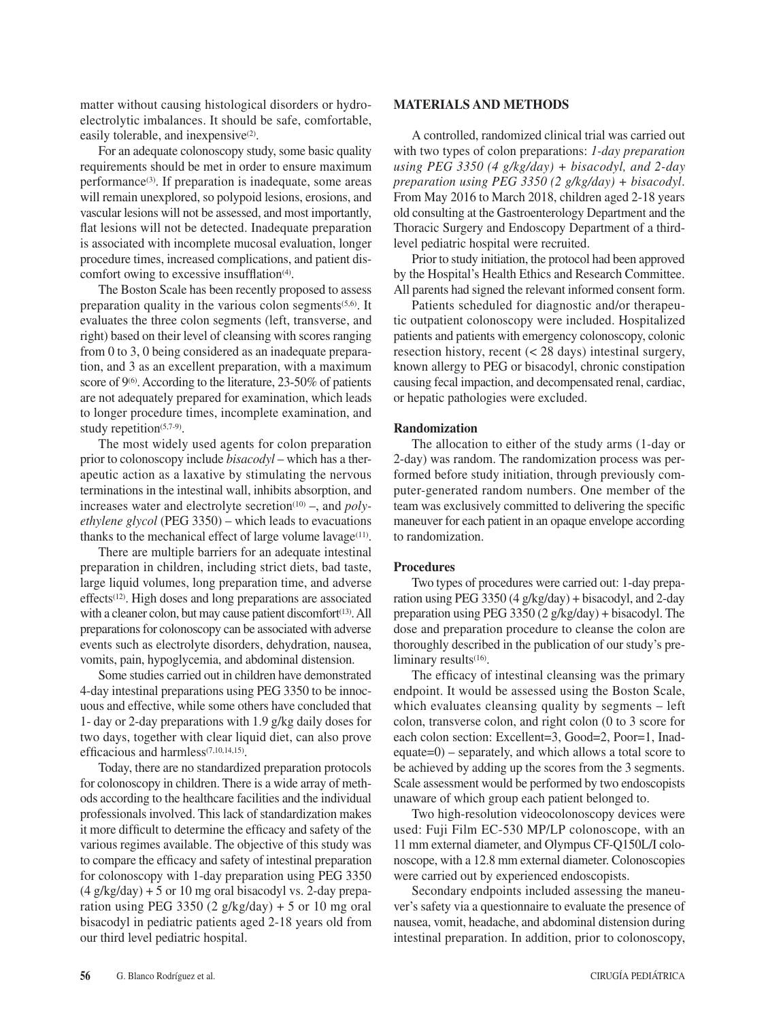matter without causing histological disorders or hydroelectrolytic imbalances. It should be safe, comfortable, easily tolerable, and inexpensive<sup>(2)</sup>.

For an adequate colonoscopy study, some basic quality requirements should be met in order to ensure maximum performance $(3)$ . If preparation is inadequate, some areas will remain unexplored, so polypoid lesions, erosions, and vascular lesions will not be assessed, and most importantly, flat lesions will not be detected. Inadequate preparation is associated with incomplete mucosal evaluation, longer procedure times, increased complications, and patient discomfort owing to excessive insufflation<sup>(4)</sup>.

The Boston Scale has been recently proposed to assess preparation quality in the various colon segments<sup> $(5,6)$ </sup>. It evaluates the three colon segments (left, transverse, and right) based on their level of cleansing with scores ranging from 0 to 3, 0 being considered as an inadequate preparation, and 3 as an excellent preparation, with a maximum score of  $9<sup>(6)</sup>$ . According to the literature, 23-50% of patients are not adequately prepared for examination, which leads to longer procedure times, incomplete examination, and study repetition $(5,7-9)$ .

The most widely used agents for colon preparation prior to colonoscopy include *bisacodyl* – which has a therapeutic action as a laxative by stimulating the nervous terminations in the intestinal wall, inhibits absorption, and increases water and electrolyte secretion<sup>(10)</sup> –, and *polyethylene glycol* (PEG 3350) – which leads to evacuations thanks to the mechanical effect of large volume lavage $(11)$ .

There are multiple barriers for an adequate intestinal preparation in children, including strict diets, bad taste, large liquid volumes, long preparation time, and adverse effects(12). High doses and long preparations are associated with a cleaner colon, but may cause patient discomfort<sup>(13)</sup>. All preparations for colonoscopy can be associated with adverse events such as electrolyte disorders, dehydration, nausea, vomits, pain, hypoglycemia, and abdominal distension.

Some studies carried out in children have demonstrated 4-day intestinal preparations using PEG 3350 to be innocuous and effective, while some others have concluded that 1- day or 2-day preparations with 1.9 g/kg daily doses for two days, together with clear liquid diet, can also prove efficacious and harmless<sup>(7,10,14,15)</sup>.

Today, there are no standardized preparation protocols for colonoscopy in children. There is a wide array of methods according to the healthcare facilities and the individual professionals involved. This lack of standardization makes it more difficult to determine the efficacy and safety of the various regimes available. The objective of this study was to compare the efficacy and safety of intestinal preparation for colonoscopy with 1-day preparation using PEG 3350  $(4 \frac{g}{kg} \text{day}) + 5 \text{ or } 10 \text{ mg}$  oral bisacodyl vs. 2-day preparation using PEG 3350 (2 g/kg/day) + 5 or 10 mg oral bisacodyl in pediatric patients aged 2-18 years old from our third level pediatric hospital.

## **MATERIALS AND METHODS**

A controlled, randomized clinical trial was carried out with two types of colon preparations: *1-day preparation using PEG 3350 (4 g/kg/day) + bisacodyl, and 2-day preparation using PEG 3350 (2 g/kg/day) + bisacodyl*. From May 2016 to March 2018, children aged 2-18 years old consulting at the Gastroenterology Department and the Thoracic Surgery and Endoscopy Department of a thirdlevel pediatric hospital were recruited.

Prior to study initiation, the protocol had been approved by the Hospital's Health Ethics and Research Committee. All parents had signed the relevant informed consent form.

Patients scheduled for diagnostic and/or therapeutic outpatient colonoscopy were included. Hospitalized patients and patients with emergency colonoscopy, colonic resection history, recent (< 28 days) intestinal surgery, known allergy to PEG or bisacodyl, chronic constipation causing fecal impaction, and decompensated renal, cardiac, or hepatic pathologies were excluded.

#### **Randomization**

The allocation to either of the study arms (1-day or 2-day) was random. The randomization process was performed before study initiation, through previously computer-generated random numbers. One member of the team was exclusively committed to delivering the specific maneuver for each patient in an opaque envelope according to randomization.

#### **Procedures**

Two types of procedures were carried out: 1-day preparation using PEG 3350 (4 g/kg/day) + bisacodyl, and 2-day preparation using PEG 3350 (2 g/kg/day) + bisacodyl. The dose and preparation procedure to cleanse the colon are thoroughly described in the publication of our study's preliminary results<sup>(16)</sup>.

The efficacy of intestinal cleansing was the primary endpoint. It would be assessed using the Boston Scale, which evaluates cleansing quality by segments – left colon, transverse colon, and right colon (0 to 3 score for each colon section: Excellent=3, Good=2, Poor=1, Inadequate=0) – separately, and which allows a total score to be achieved by adding up the scores from the 3 segments. Scale assessment would be performed by two endoscopists unaware of which group each patient belonged to.

Two high-resolution videocolonoscopy devices were used: Fuji Film EC-530 MP/LP colonoscope, with an 11 mm external diameter, and Olympus CF-Q150L/I colonoscope, with a 12.8 mm external diameter. Colonoscopies were carried out by experienced endoscopists.

Secondary endpoints included assessing the maneuver's safety via a questionnaire to evaluate the presence of nausea, vomit, headache, and abdominal distension during intestinal preparation. In addition, prior to colonoscopy,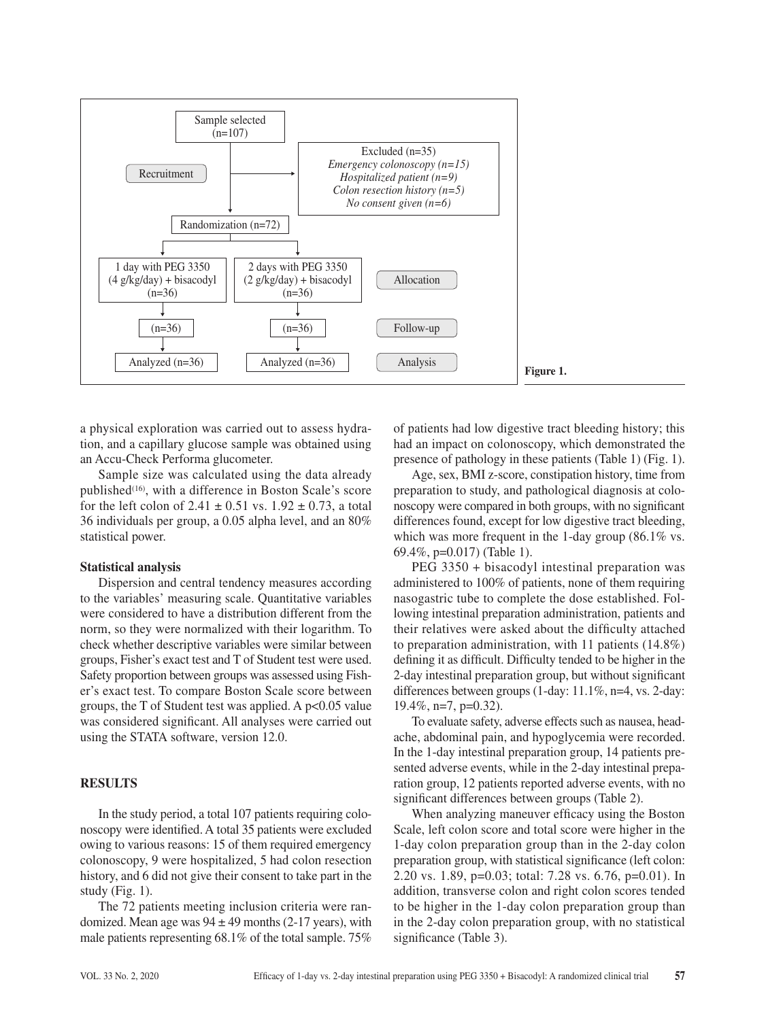

a physical exploration was carried out to assess hydration, and a capillary glucose sample was obtained using an Accu-Check Performa glucometer.

Sample size was calculated using the data already published<sup>(16)</sup>, with a difference in Boston Scale's score for the left colon of  $2.41 \pm 0.51$  vs.  $1.92 \pm 0.73$ , a total 36 individuals per group, a 0.05 alpha level, and an 80% statistical power.

# **Statistical analysis**

Dispersion and central tendency measures according to the variables' measuring scale. Quantitative variables were considered to have a distribution different from the norm, so they were normalized with their logarithm. To check whether descriptive variables were similar between groups, Fisher's exact test and T of Student test were used. Safety proportion between groups was assessed using Fisher's exact test. To compare Boston Scale score between groups, the T of Student test was applied. A  $p<0.05$  value was considered significant. All analyses were carried out using the STATA software, version 12.0.

# **RESULTS**

In the study period, a total 107 patients requiring colonoscopy were identified. A total 35 patients were excluded owing to various reasons: 15 of them required emergency colonoscopy, 9 were hospitalized, 5 had colon resection history, and 6 did not give their consent to take part in the study (Fig. 1).

The 72 patients meeting inclusion criteria were randomized. Mean age was  $94 \pm 49$  months (2-17 years), with male patients representing 68.1% of the total sample. 75%

of patients had low digestive tract bleeding history; this had an impact on colonoscopy, which demonstrated the presence of pathology in these patients (Table 1) (Fig. 1).

Age, sex, BMI z-score, constipation history, time from preparation to study, and pathological diagnosis at colonoscopy were compared in both groups, with no significant differences found, except for low digestive tract bleeding, which was more frequent in the 1-day group (86.1% vs. 69.4%, p=0.017) (Table 1).

PEG 3350 + bisacodyl intestinal preparation was administered to 100% of patients, none of them requiring nasogastric tube to complete the dose established. Following intestinal preparation administration, patients and their relatives were asked about the difficulty attached to preparation administration, with 11 patients (14.8%) defining it as difficult. Difficulty tended to be higher in the 2-day intestinal preparation group, but without significant differences between groups (1-day: 11.1%, n=4, vs. 2-day: 19.4%, n=7, p=0.32).

To evaluate safety, adverse effects such as nausea, headache, abdominal pain, and hypoglycemia were recorded. In the 1-day intestinal preparation group, 14 patients presented adverse events, while in the 2-day intestinal preparation group, 12 patients reported adverse events, with no significant differences between groups (Table 2).

When analyzing maneuver efficacy using the Boston Scale, left colon score and total score were higher in the 1-day colon preparation group than in the 2-day colon preparation group, with statistical significance (left colon: 2.20 vs. 1.89, p=0.03; total: 7.28 vs. 6.76, p=0.01). In addition, transverse colon and right colon scores tended to be higher in the 1-day colon preparation group than in the 2-day colon preparation group, with no statistical significance (Table 3).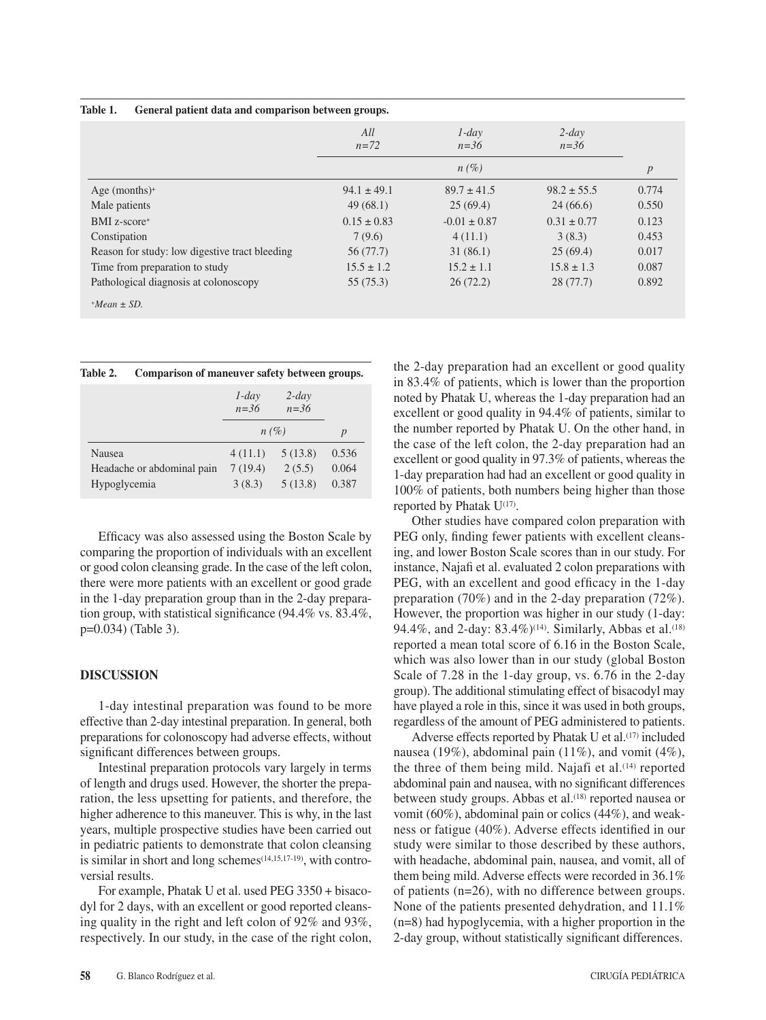| lable 1.<br>General patient data and comparison between groups. |                 |                      |                      |                  |
|-----------------------------------------------------------------|-----------------|----------------------|----------------------|------------------|
|                                                                 | All<br>$n = 72$ | $1$ -day<br>$n = 36$ | $2$ -day<br>$n = 36$ |                  |
|                                                                 |                 | $n(\%)$              |                      | $\boldsymbol{p}$ |
| Age (months) <sup>+</sup>                                       | $94.1 \pm 49.1$ | $89.7 \pm 41.5$      | $98.2 \pm 55.5$      | 0.774            |
| Male patients                                                   | 49(68.1)        | 25(69.4)             | 24(66.6)             | 0.550            |
| BMI z-score+                                                    | $0.15 \pm 0.83$ | $-0.01 \pm 0.87$     | $0.31 \pm 0.77$      | 0.123            |
| Constipation                                                    | 7(9.6)          | 4(11.1)              | 3(8.3)               | 0.453            |
| Reason for study: low digestive tract bleeding                  | 56 (77.7)       | 31(86.1)             | 25(69.4)             | 0.017            |
| Time from preparation to study                                  | $15.5 \pm 1.2$  | $15.2 \pm 1.1$       | $15.8 \pm 1.3$       | 0.087            |
| Pathological diagnosis at colonoscopy                           | 55 (75.3)       | 26(72.2)             | 28(77.7)             | 0.892            |
| $+Mean \pm SD$ .                                                |                 |                      |                      |                  |

| Table 1. |  |  |  | General patient data and comparison between groups. |  |
|----------|--|--|--|-----------------------------------------------------|--|
|          |  |  |  |                                                     |  |

| Table 2. |  |  | Comparison of maneuver safety between groups. |  |
|----------|--|--|-----------------------------------------------|--|
|----------|--|--|-----------------------------------------------|--|

|                            | $1$ -day<br>$n = 36$ | $2$ -day<br>$n = 36$ |                  |
|----------------------------|----------------------|----------------------|------------------|
|                            |                      | $n(\%)$              | $\boldsymbol{p}$ |
| <b>Nausea</b>              | 4(11.1)              | 5(13.8)              | 0.536            |
| Headache or abdominal pain | 7(19.4)              | 2(5.5)               | 0.064            |
| Hypoglycemia               | 3(8.3)               | 5(13.8)              | 0.387            |

Efficacy was also assessed using the Boston Scale by comparing the proportion of individuals with an excellent or good colon cleansing grade. In the case of the left colon, there were more patients with an excellent or good grade in the 1-day preparation group than in the 2-day preparation group, with statistical significance (94.4% vs. 83.4%, p=0.034) (Table 3).

# **DISCUSSION**

1-day intestinal preparation was found to be more effective than 2-day intestinal preparation. In general, both preparations for colonoscopy had adverse effects, without significant differences between groups.

Intestinal preparation protocols vary largely in terms of length and drugs used. However, the shorter the preparation, the less upsetting for patients, and therefore, the higher adherence to this maneuver. This is why, in the last years, multiple prospective studies have been carried out in pediatric patients to demonstrate that colon cleansing is similar in short and long schemes<sup>(14,15,17-19)</sup>, with controversial results.

For example, Phatak U et al. used PEG 3350 + bisacodyl for 2 days, with an excellent or good reported cleansing quality in the right and left colon of 92% and 93%, respectively. In our study, in the case of the right colon,

the 2-day preparation had an excellent or good quality in 83.4% of patients, which is lower than the proportion noted by Phatak U, whereas the 1-day preparation had an excellent or good quality in 94.4% of patients, similar to the number reported by Phatak U. On the other hand, in the case of the left colon, the 2-day preparation had an excellent or good quality in 97.3% of patients, whereas the 1-day preparation had had an excellent or good quality in 100% of patients, both numbers being higher than those reported by Phatak U(17).

Other studies have compared colon preparation with PEG only, finding fewer patients with excellent cleansing, and lower Boston Scale scores than in our study. For instance, Najafi et al. evaluated 2 colon preparations with PEG, with an excellent and good efficacy in the 1-day preparation (70%) and in the 2-day preparation (72%). However, the proportion was higher in our study (1-day: 94.4%, and 2-day: 83.4%)<sup>(14)</sup>. Similarly, Abbas et al.<sup>(18)</sup> reported a mean total score of 6.16 in the Boston Scale, which was also lower than in our study (global Boston Scale of 7.28 in the 1-day group, vs. 6.76 in the 2-day group). The additional stimulating effect of bisacodyl may have played a role in this, since it was used in both groups, regardless of the amount of PEG administered to patients.

Adverse effects reported by Phatak U et al.<sup>(17)</sup> included nausea (19%), abdominal pain (11%), and vomit (4%), the three of them being mild. Najafi et al.(14) reported abdominal pain and nausea, with no significant differences between study groups. Abbas et al.<sup>(18)</sup> reported nausea or vomit (60%), abdominal pain or colics (44%), and weakness or fatigue (40%). Adverse effects identified in our study were similar to those described by these authors, with headache, abdominal pain, nausea, and vomit, all of them being mild. Adverse effects were recorded in 36.1% of patients (n=26), with no difference between groups. None of the patients presented dehydration, and 11.1% (n=8) had hypoglycemia, with a higher proportion in the 2-day group, without statistically significant differences.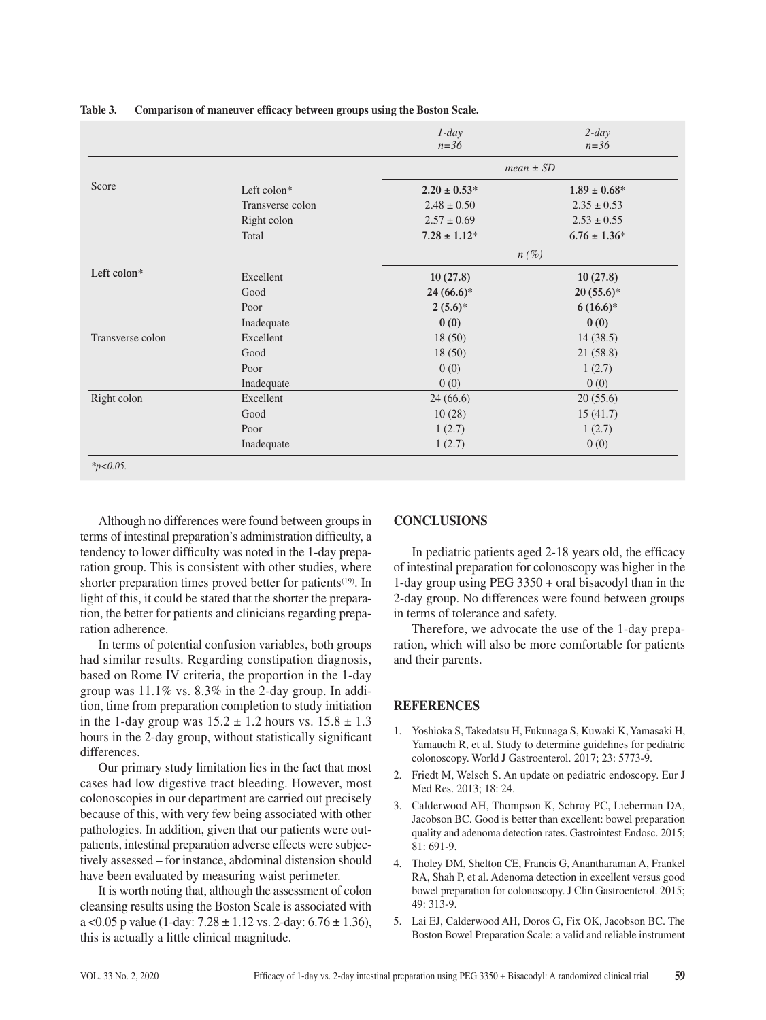|                  |                  | $1$ -day<br>$n = 36$ | $2$ -day<br>$n = 36$ |
|------------------|------------------|----------------------|----------------------|
|                  |                  | $mean \pm SD$        |                      |
| Score            | Left colon*      | $2.20 \pm 0.53^*$    | $1.89 \pm 0.68^*$    |
|                  | Transverse colon | $2.48 \pm 0.50$      | $2.35 \pm 0.53$      |
|                  | Right colon      | $2.57 \pm 0.69$      | $2.53 \pm 0.55$      |
|                  | Total            | $7.28 \pm 1.12*$     | $6.76 \pm 1.36^*$    |
|                  |                  | $n(\%)$              |                      |
| Left colon*      | Excellent        | 10(27.8)             | 10(27.8)             |
|                  | Good             | $24(66.6)*$          | $20(55.6)*$          |
|                  | Poor             | $2(5.6)*$            | $6(16.6)*$           |
|                  | Inadequate       | 0(0)                 | 0(0)                 |
| Transverse colon | Excellent        | 18(50)               | 14(38.5)             |
|                  | Good             | 18(50)               | 21(58.8)             |
|                  | Poor             | 0(0)                 | 1(2.7)               |
|                  | Inadequate       | 0(0)                 | 0(0)                 |
| Right colon      | Excellent        | 24(66.6)             | 20(55.6)             |
|                  | Good             | 10(28)               | 15(41.7)             |
|                  | Poor             | 1(2.7)               | 1(2.7)               |
|                  | Inadequate       | 1(2.7)               | 0(0)                 |

## **Table 3. Comparison of maneuver efficacy between groups using the Boston Scale.**

Although no differences were found between groups in terms of intestinal preparation's administration difficulty, a tendency to lower difficulty was noted in the 1-day preparation group. This is consistent with other studies, where shorter preparation times proved better for patients<sup>(19)</sup>. In light of this, it could be stated that the shorter the preparation, the better for patients and clinicians regarding preparation adherence.

In terms of potential confusion variables, both groups had similar results. Regarding constipation diagnosis, based on Rome IV criteria, the proportion in the 1-day group was 11.1% vs. 8.3% in the 2-day group. In addition, time from preparation completion to study initiation in the 1-day group was  $15.2 \pm 1.2$  hours vs.  $15.8 \pm 1.3$ hours in the 2-day group, without statistically significant differences.

Our primary study limitation lies in the fact that most cases had low digestive tract bleeding. However, most colonoscopies in our department are carried out precisely because of this, with very few being associated with other pathologies. In addition, given that our patients were outpatients, intestinal preparation adverse effects were subjectively assessed – for instance, abdominal distension should have been evaluated by measuring waist perimeter.

It is worth noting that, although the assessment of colon cleansing results using the Boston Scale is associated with a < 0.05 p value (1-day:  $7.28 \pm 1.12$  vs.  $2$ -day:  $6.76 \pm 1.36$ ), this is actually a little clinical magnitude.

# **CONCLUSIONS**

In pediatric patients aged 2-18 years old, the efficacy of intestinal preparation for colonoscopy was higher in the 1-day group using PEG 3350 + oral bisacodyl than in the 2-day group. No differences were found between groups in terms of tolerance and safety.

Therefore, we advocate the use of the 1-day preparation, which will also be more comfortable for patients and their parents.

# **REFERENCES**

- 1. Yoshioka S, Takedatsu H, Fukunaga S, Kuwaki K, Yamasaki H, Yamauchi R, et al. Study to determine guidelines for pediatric colonoscopy. World J Gastroenterol. 2017; 23: 5773-9.
- 2. Friedt M, Welsch S. An update on pediatric endoscopy. Eur J Med Res. 2013; 18: 24.
- 3. Calderwood AH, Thompson K, Schroy PC, Lieberman DA, Jacobson BC. Good is better than excellent: bowel preparation quality and adenoma detection rates. Gastrointest Endosc. 2015; 81: 691-9.
- 4. Tholey DM, Shelton CE, Francis G, Anantharaman A, Frankel RA, Shah P, et al. Adenoma detection in excellent versus good bowel preparation for colonoscopy. J Clin Gastroenterol. 2015; 49: 313-9.
- 5. Lai EJ, Calderwood AH, Doros G, Fix OK, Jacobson BC. The Boston Bowel Preparation Scale: a valid and reliable instrument